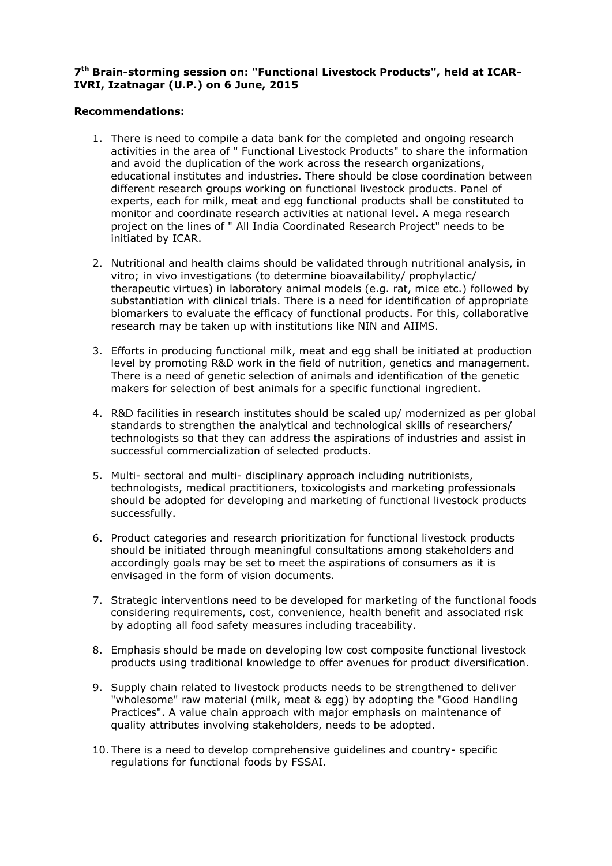## **7 th Brain-storming session on: "Functional Livestock Products", held at ICAR-IVRI, Izatnagar (U.P.) on 6 June, 2015**

## **Recommendations:**

- 1. There is need to compile a data bank for the completed and ongoing research activities in the area of " Functional Livestock Products" to share the information and avoid the duplication of the work across the research organizations, educational institutes and industries. There should be close coordination between different research groups working on functional livestock products. Panel of experts, each for milk, meat and egg functional products shall be constituted to monitor and coordinate research activities at national level. A mega research project on the lines of " All India Coordinated Research Project" needs to be initiated by ICAR.
- 2. Nutritional and health claims should be validated through nutritional analysis, in vitro; in vivo investigations (to determine bioavailability/ prophylactic/ therapeutic virtues) in laboratory animal models (e.g. rat, mice etc.) followed by substantiation with clinical trials. There is a need for identification of appropriate biomarkers to evaluate the efficacy of functional products. For this, collaborative research may be taken up with institutions like NIN and AIIMS.
- 3. Efforts in producing functional milk, meat and egg shall be initiated at production level by promoting R&D work in the field of nutrition, genetics and management. There is a need of genetic selection of animals and identification of the genetic makers for selection of best animals for a specific functional ingredient.
- 4. R&D facilities in research institutes should be scaled up/ modernized as per global standards to strengthen the analytical and technological skills of researchers/ technologists so that they can address the aspirations of industries and assist in successful commercialization of selected products.
- 5. Multi- sectoral and multi- disciplinary approach including nutritionists, technologists, medical practitioners, toxicologists and marketing professionals should be adopted for developing and marketing of functional livestock products successfully.
- 6. Product categories and research prioritization for functional livestock products should be initiated through meaningful consultations among stakeholders and accordingly goals may be set to meet the aspirations of consumers as it is envisaged in the form of vision documents.
- 7. Strategic interventions need to be developed for marketing of the functional foods considering requirements, cost, convenience, health benefit and associated risk by adopting all food safety measures including traceability.
- 8. Emphasis should be made on developing low cost composite functional livestock products using traditional knowledge to offer avenues for product diversification.
- 9. Supply chain related to livestock products needs to be strengthened to deliver "wholesome" raw material (milk, meat & egg) by adopting the "Good Handling Practices". A value chain approach with major emphasis on maintenance of quality attributes involving stakeholders, needs to be adopted.
- 10. There is a need to develop comprehensive guidelines and country- specific regulations for functional foods by FSSAI.